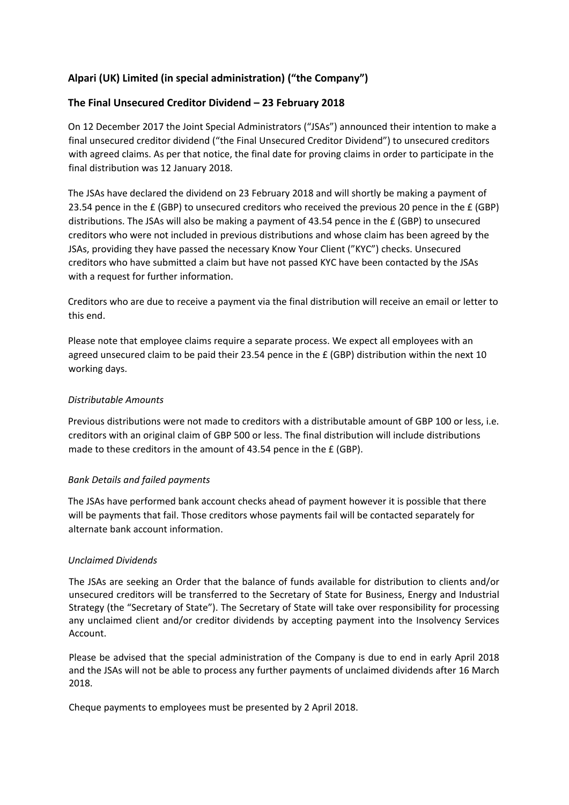# **Alpari (UK) Limited (in special administration) ("the Company")**

# **The Final Unsecured Creditor Dividend – 23 February 2018**

On 12 December 2017 the Joint Special Administrators ("JSAs") announced their intention to make a final unsecured creditor dividend ("the Final Unsecured Creditor Dividend") to unsecured creditors with agreed claims. As per that notice, the final date for proving claims in order to participate in the final distribution was 12 January 2018.

The JSAs have declared the dividend on 23 February 2018 and will shortly be making a payment of 23.54 pence in the  $E$  (GBP) to unsecured creditors who received the previous 20 pence in the  $E$  (GBP) distributions. The JSAs will also be making a payment of 43.54 pence in the £ (GBP) to unsecured creditors who were not included in previous distributions and whose claim has been agreed by the JSAs, providing they have passed the necessary Know Your Client ("KYC") checks. Unsecured creditors who have submitted a claim but have not passed KYC have been contacted by the JSAs with a request for further information.

Creditors who are due to receive a payment via the final distribution will receive an email or letter to this end.

Please note that employee claims require a separate process. We expect all employees with an agreed unsecured claim to be paid their 23.54 pence in the £ (GBP) distribution within the next 10 working days.

## *Distributable Amounts*

Previous distributions were not made to creditors with a distributable amount of GBP 100 or less, i.e. creditors with an original claim of GBP 500 or less. The final distribution will include distributions made to these creditors in the amount of 43.54 pence in the £ (GBP).

### *Bank Details and failed payments*

The JSAs have performed bank account checks ahead of payment however it is possible that there will be payments that fail. Those creditors whose payments fail will be contacted separately for alternate bank account information.

### *Unclaimed Dividends*

The JSAs are seeking an Order that the balance of funds available for distribution to clients and/or unsecured creditors will be transferred to the Secretary of State for Business, Energy and Industrial Strategy (the "Secretary of State"). The Secretary of State will take over responsibility for processing any unclaimed client and/or creditor dividends by accepting payment into the Insolvency Services Account.

Please be advised that the special administration of the Company is due to end in early April 2018 and the JSAs will not be able to process any further payments of unclaimed dividends after 16 March 2018.

Cheque payments to employees must be presented by 2 April 2018.